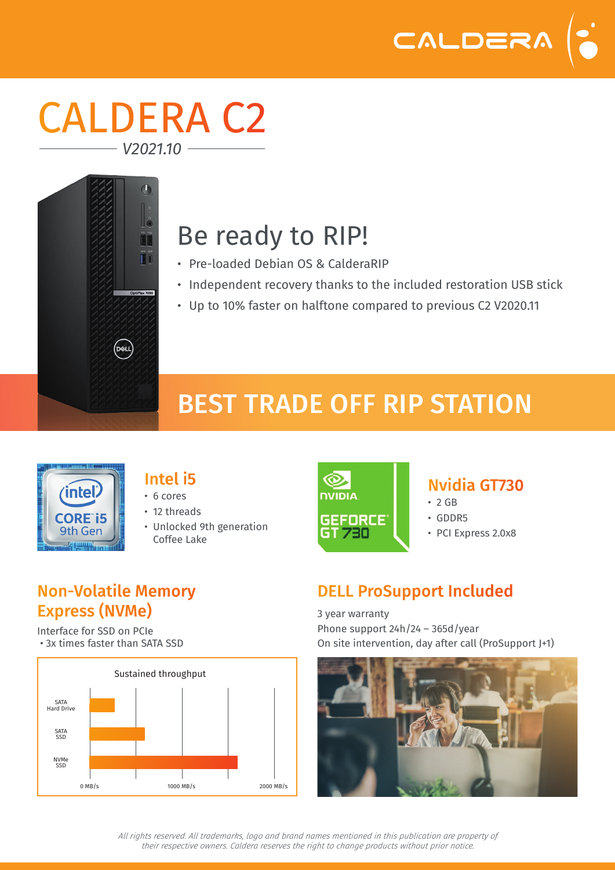

### CALDERA C2 *V2021.10*



# Be ready to RIP!

- Pre-loaded Debian OS & CalderaRIP
- Independent recovery thanks to the included restoration USB stick
- Up to 10% faster on halftone compared to previous C2 V2020.11

# BEST TRADE OFF RIP STATION



#### Intel i5

- 6 cores
- 12 threads
- Unlocked 9th generation Coffee Lake



#### Nvidia GT730

- $\cdot$  2 GB
- GDDR5
- PCI Express 2.0x8

#### Non-Volatile Memory Express (NVMe)

Interface for SSD on PCIe • 3x times faster than SATA SSD



### DELL ProSupport Included

3 year warranty Phone support 24h/24 – 365d/year On site intervention, day after call (ProSupport J+1)



*All rights reserved. All trademarks, logo and brand names mentioned in this publication are property of their respective owners. Caldera reserves the right to change products without prior notice.*